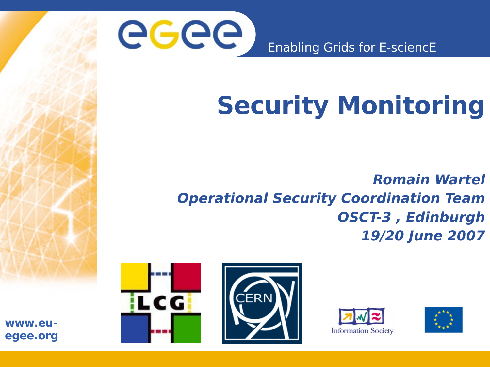

Enabling Grids for E-sciencE

## **Security Monitoring**

**Romain Wartel Operational Security Coordination Team OSCT-3 , Edinburgh 19/20 June 2007**







**www.euegee.org**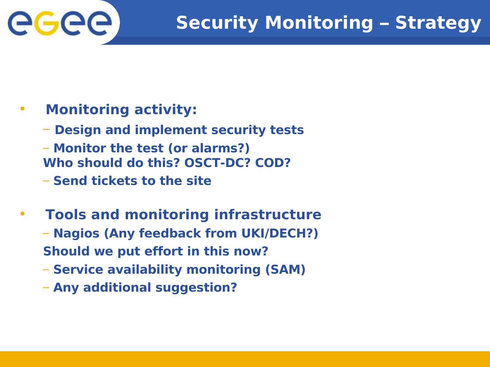

### • **Monitoring activity:**

- **Design and implement security tests**
- **Monitor the test (or alarms?) Who should do this? OSCT-DC? COD?**
- **Send tickets to the site**
- **Tools and monitoring infrastructure** – **Nagios (Any feedback from UKI/DECH?) Should we put effort in this now?**
	- **Service availability monitoring (SAM)**
	- **Any additional suggestion?**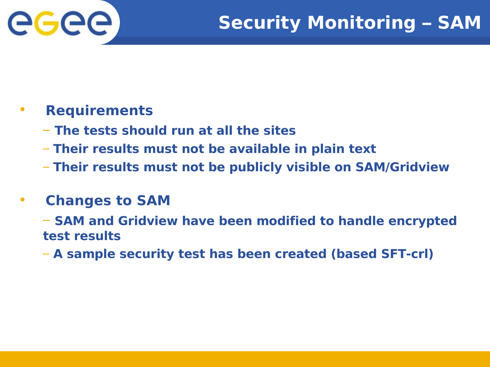

#### • **Requirements**

- **The tests should run at all the sites**
- **Their results must not be available in plain text**
- **Their results must not be publicly visible on SAM/Gridview**

#### • **Changes to SAM**

– **SAM and Gridview have been modified to handle encrypted test results**

– **A sample security test has been created (based SFT-crl)**